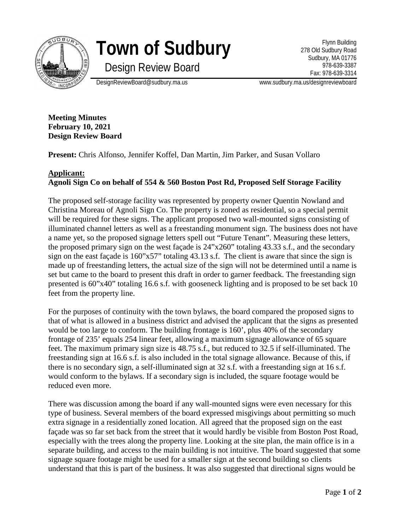

## **Town of Sudbury**

Design Review Board

Flynn Building 278 Old Sudbury Road Sudbury, MA 01776 978-639-3387 Fax: 978-639-3314

DesignReviewBoard@sudbury.ma.us www.sudbury.ma.us/designreviewboard

**Meeting Minutes February 10, 2021 Design Review Board**

**Present:** Chris Alfonso, Jennifer Koffel, Dan Martin, Jim Parker, and Susan Vollaro

## **Applicant: Agnoli Sign Co on behalf of 554 & 560 Boston Post Rd, Proposed Self Storage Facility**

The proposed self-storage facility was represented by property owner Quentin Nowland and Christina Moreau of Agnoli Sign Co. The property is zoned as residential, so a special permit will be required for these signs. The applicant proposed two wall-mounted signs consisting of illuminated channel letters as well as a freestanding monument sign. The business does not have a name yet, so the proposed signage letters spell out "Future Tenant". Measuring these letters, the proposed primary sign on the west façade is 24"x260" totaling 43.33 s.f., and the secondary sign on the east façade is 160"x57" totaling 43.13 s.f. The client is aware that since the sign is made up of freestanding letters, the actual size of the sign will not be determined until a name is set but came to the board to present this draft in order to garner feedback. The freestanding sign presented is 60"x40" totaling 16.6 s.f. with gooseneck lighting and is proposed to be set back 10 feet from the property line.

For the purposes of continuity with the town bylaws, the board compared the proposed signs to that of what is allowed in a business district and advised the applicant that the signs as presented would be too large to conform. The building frontage is 160', plus 40% of the secondary frontage of 235' equals 254 linear feet, allowing a maximum signage allowance of 65 square feet. The maximum primary sign size is 48.75 s.f., but reduced to 32.5 if self-illuminated. The freestanding sign at 16.6 s.f. is also included in the total signage allowance. Because of this, if there is no secondary sign, a self-illuminated sign at 32 s.f. with a freestanding sign at 16 s.f. would conform to the bylaws. If a secondary sign is included, the square footage would be reduced even more.

There was discussion among the board if any wall-mounted signs were even necessary for this type of business. Several members of the board expressed misgivings about permitting so much extra signage in a residentially zoned location. All agreed that the proposed sign on the east façade was so far set back from the street that it would hardly be visible from Boston Post Road, especially with the trees along the property line. Looking at the site plan, the main office is in a separate building, and access to the main building is not intuitive. The board suggested that some signage square footage might be used for a smaller sign at the second building so clients understand that this is part of the business. It was also suggested that directional signs would be